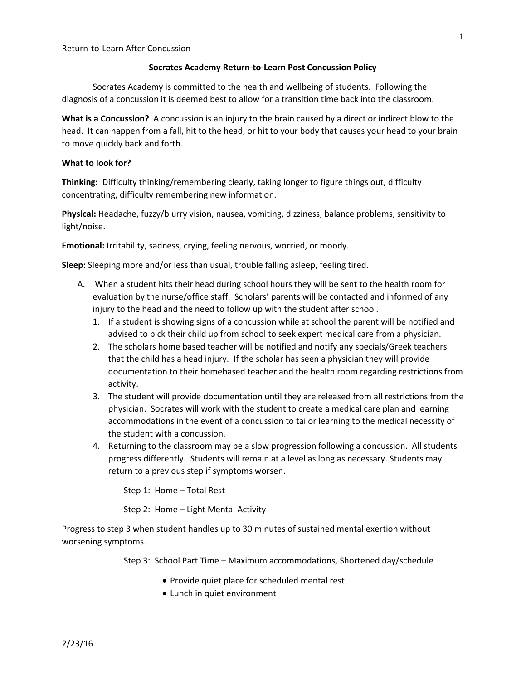## **Socrates Academy Return-to-Learn Post Concussion Policy**

Socrates Academy is committed to the health and wellbeing of students. Following the diagnosis of a concussion it is deemed best to allow for a transition time back into the classroom.

**What is a Concussion?** A concussion is an injury to the brain caused by a direct or indirect blow to the head. It can happen from a fall, hit to the head, or hit to your body that causes your head to your brain to move quickly back and forth.

## **What to look for?**

**Thinking:** Difficulty thinking/remembering clearly, taking longer to figure things out, difficulty concentrating, difficulty remembering new information.

**Physical:** Headache, fuzzy/blurry vision, nausea, vomiting, dizziness, balance problems, sensitivity to light/noise.

**Emotional:** Irritability, sadness, crying, feeling nervous, worried, or moody.

**Sleep:** Sleeping more and/or less than usual, trouble falling asleep, feeling tired.

- A. When a student hits their head during school hours they will be sent to the health room for evaluation by the nurse/office staff. Scholars' parents will be contacted and informed of any injury to the head and the need to follow up with the student after school.
	- 1. If a student is showing signs of a concussion while at school the parent will be notified and advised to pick their child up from school to seek expert medical care from a physician.
	- 2. The scholars home based teacher will be notified and notify any specials/Greek teachers that the child has a head injury. If the scholar has seen a physician they will provide documentation to their homebased teacher and the health room regarding restrictions from activity.
	- 3. The student will provide documentation until they are released from all restrictions from the physician. Socrates will work with the student to create a medical care plan and learning accommodations in the event of a concussion to tailor learning to the medical necessity of the student with a concussion.
	- 4. Returning to the classroom may be a slow progression following a concussion. All students progress differently. Students will remain at a level as long as necessary. Students may return to a previous step if symptoms worsen.

Step 1: Home – Total Rest

Step 2: Home – Light Mental Activity

Progress to step 3 when student handles up to 30 minutes of sustained mental exertion without worsening symptoms.

Step 3: School Part Time – Maximum accommodations, Shortened day/schedule

- Provide quiet place for scheduled mental rest
- Lunch in quiet environment